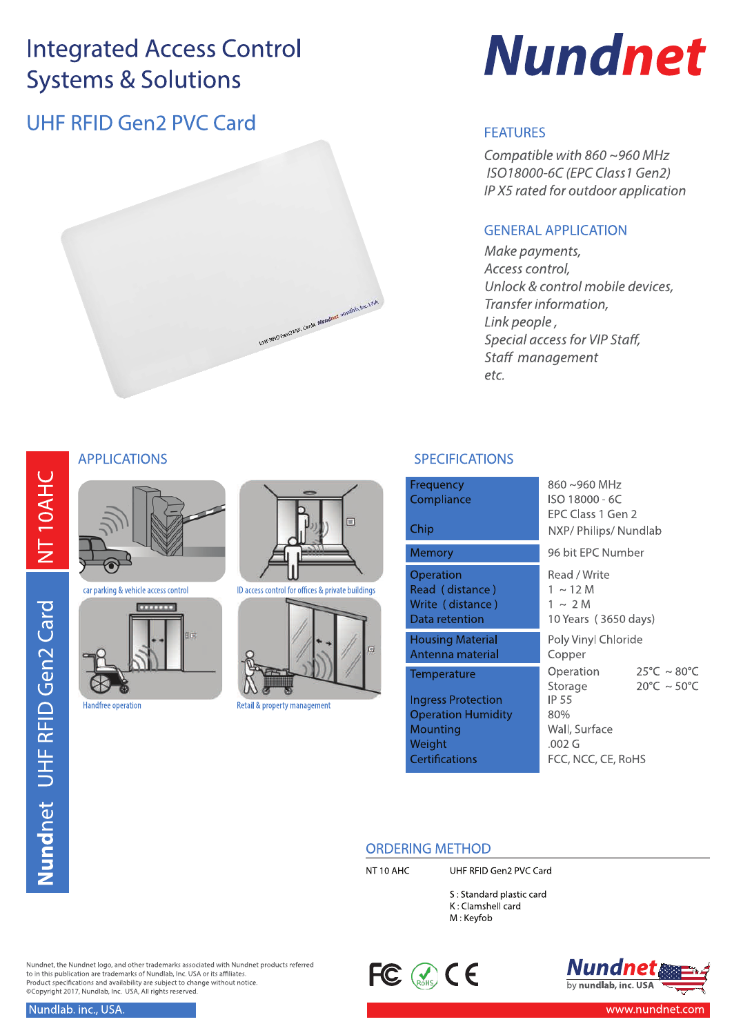## UHF RFID Gen2 PVC Card



# **Nundnet**

### **FEATURES**

Compatible with 860~960 MHz ISO18000-6C (EPC Class1 Gen2) IP X5 rated for outdoor application

#### **GENERAL APPLICATION**

Make payments, Access control, Unlock & control mobile devices, Transfer information, Link people, Special access for VIP Staff, Staff management etc.

#### **SPECIFICATIONS**

| Frequency<br>Compliance<br>Chip                                                                                             | 860~960 MHz<br>ISO 18000 - 6C<br>EPC Class 1 Gen 2                                                      | NXP/Philips/Nundlab                                                  |  |  |
|-----------------------------------------------------------------------------------------------------------------------------|---------------------------------------------------------------------------------------------------------|----------------------------------------------------------------------|--|--|
| Memory                                                                                                                      | 96 bit EPC Number                                                                                       |                                                                      |  |  |
| Operation<br>Read (distance)<br>Write (distance)<br>Data retention                                                          | Read / Write<br>$1 \sim 12$ M<br>$1 \sim 2$ M<br>10 Years (3650 days)                                   |                                                                      |  |  |
| <b>Housing Material</b><br>Antenna material                                                                                 | Poly Vinyl Chloride<br>Copper                                                                           |                                                                      |  |  |
| <b>Temperature</b><br><b>Ingress Protection</b><br><b>Operation Humidity</b><br>Mounting<br>Weight<br><b>Certifications</b> | Operation<br>Storage<br><b>IP 55</b><br>80%<br>Wall, Surface<br>.002 <sub>G</sub><br>FCC, NCC, CE, RoHS | $25^{\circ}$ C ~ 80 $^{\circ}$ C<br>$20^{\circ}$ C ~ 50 $^{\circ}$ C |  |  |

#### **ORDERING METHOD**

NT<sub>10</sub> AHC

 $\Box$ 

ID access control for offices & private buildings

Retail & property management

UHF RFID Gen2 PVC Card

S: Standard plastic card K: Clamshell card M: Keyfob





#### **APPLICATIONS**



car parking & vehicle access control



**Handfree operation** 

Nundnet, the Nundnet logo, and other trademarks associated with Nundnet products referred<br>to in this publication are trademarks of Nundlab, Inc. USA or its affiliates. Product specifications and availability are subject to change without notice.<br>
Copyright 2017, Nundlab, Inc. USA, All rights reserved.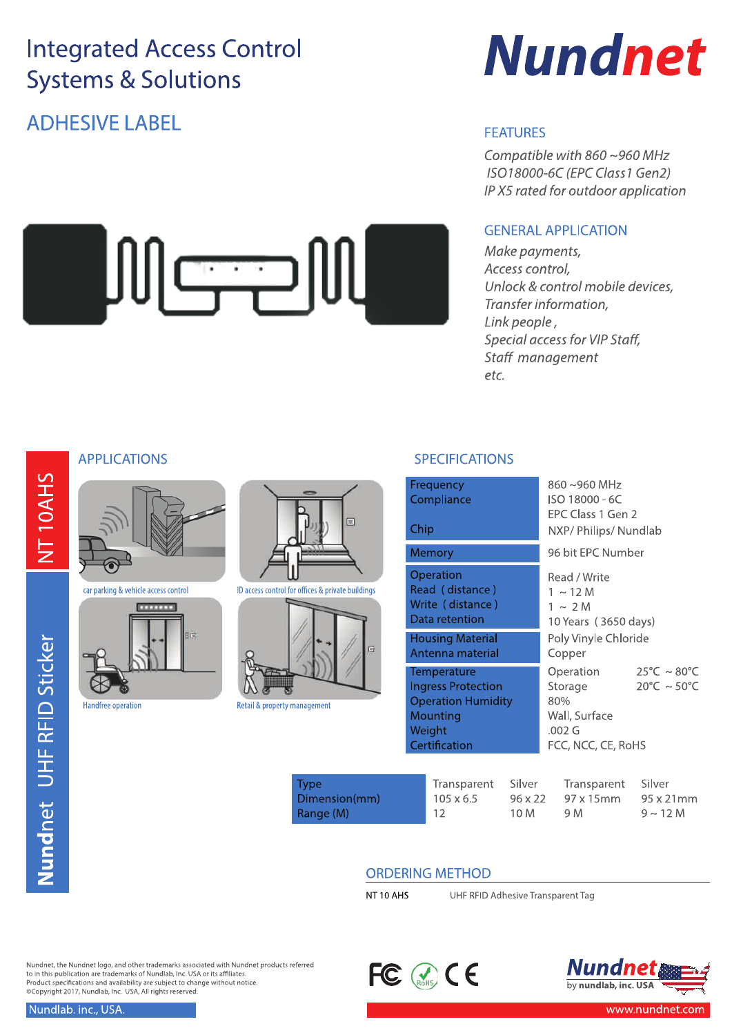JULSE

## **ADHESIVE LABEL**



#### **FEATURES**

Compatible with 860~960 MHz ISO18000-6C (EPC Class1 Gen2) IP X5 rated for outdoor application

#### **GENERAL APPLICATION**

Make payments, Access control, Unlock & control mobile devices, Transfer information, Link people, Special access for VIP Staff, Staff management etc.

#### **APPLICATIONS**



car parking & vehicle access control



**Handfree operation** 





Retail & property management

#### **SPECIFICATIONS**

| Frequency<br>Compliance<br>Chip                                                                              | 860~960 MHz<br>ISO 18000 - 6C<br>EPC Class 1 Gen 2<br>NXP/Philips/Nundlab                                                                            |
|--------------------------------------------------------------------------------------------------------------|------------------------------------------------------------------------------------------------------------------------------------------------------|
| Memory                                                                                                       | 96 bit FPC Number                                                                                                                                    |
| Operation<br>Read (distance)<br>Write (distance)<br>Data retention<br><b>Housing Material</b>                | Read / Write<br>1 $\sim$ 12 M<br>$1 \sim 2$ M<br>10 Years (3650 days)<br>Poly Vinyle Chloride                                                        |
| Antenna material                                                                                             | Copper                                                                                                                                               |
| Temperature<br><b>Ingress Protection</b><br><b>Operation Humidity</b><br>Mounting<br>Weight<br>Certification | $25^{\circ}$ C ~ 80 $^{\circ}$ C<br>Operation<br>$20^{\circ}$ C ~ 50 $^{\circ}$ C<br>Storage<br>80%<br>Wall, Surface<br>.002 G<br>FCC, NCC, CE, RoHS |

| Type          | Transparent      | Silver         | Transparent | Silver            |
|---------------|------------------|----------------|-------------|-------------------|
| Dimension(mm) | $105 \times 6.5$ | $96 \times 22$ | 97 x 15mm   | $95 \times 21$ mm |
| Range (M)     | -12              | 10 M           | 9 M         | $9 \sim 12 M$     |

#### **ORDERING METHOD**

NT10 AHS

UHF RFID Adhesive Transparent Tag

Nundnet, the Nundnet logo, and other trademarks associated with Nundnet products referred<br>to in this publication are trademarks of Nundlab, Inc. USA or its affiliates. Product specifications and availability are subject to change without notice.<br>
Copyright 2017, Nundlab, Inc. USA, All rights reserved.



NT10AHS

Nundlab. inc., USA.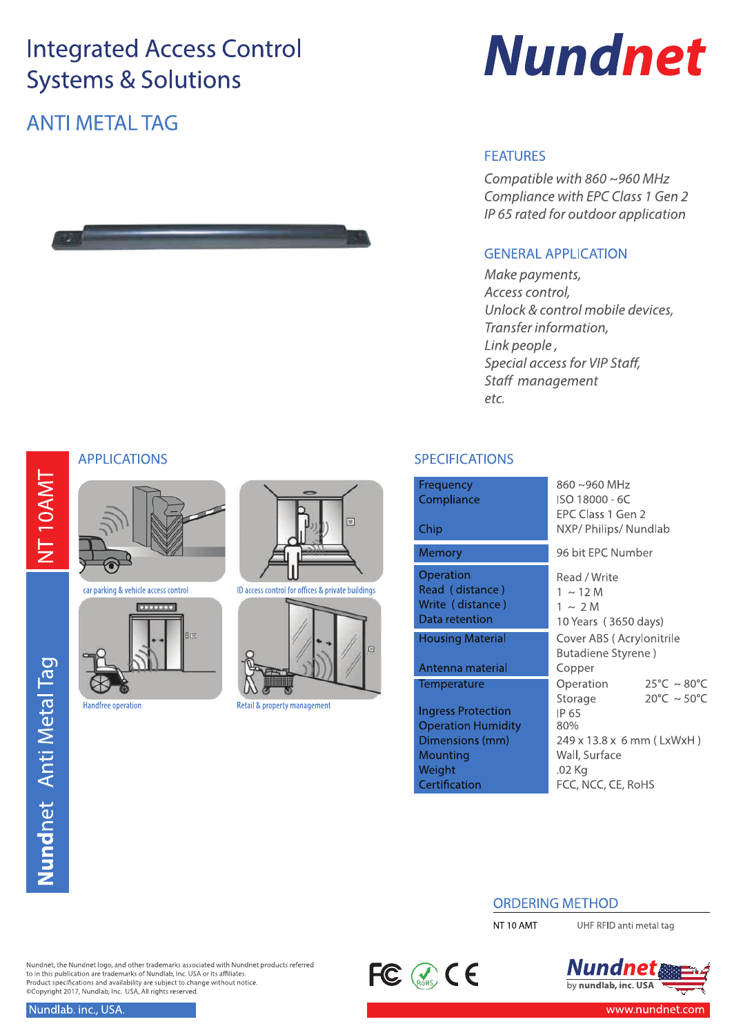## **ANTI METAL TAG**





#### **FEATURES**

Compatible with  $860 \sim 960$  MHz Compliance with EPC Class 1 Gen 2 IP 65 rated for outdoor application

#### **GENERAL APPLICATION**

Make payments, Access control, Unlock & control mobile devices, Transfer information, Link people, Special access for VIP Staff, Staff management etc.

#### **APPLICATIONS**

NT10AMT

Nundnet Anti Metal Tag



car parking & vehicle access control



Handfree operation





Retail & property management

#### **SPECIFICATIONS**

 $\overline{C}$  $\frac{R}{V}$ 

r.

| requency<br>ompliance<br>hip                                                                                 | 860~960 MHz<br>ISO 18000 - 6C<br>EPC Class 1 Gen 2<br>NXP/ Philips/ Nundlab                                        |                                                                      |
|--------------------------------------------------------------------------------------------------------------|--------------------------------------------------------------------------------------------------------------------|----------------------------------------------------------------------|
| lemory                                                                                                       | 96 bit EPC Number                                                                                                  |                                                                      |
| peration<br>ead (distance)<br>/rite (distance)<br>ata retention                                              | Read / Write<br>$1 \sim 12$ M<br>$1 \sim 2$ M<br>10 Years (3650 days)                                              |                                                                      |
| ousing Material<br>ntenna material                                                                           | Cover ABS (Acrylonitrile<br>Butadiene Styrene)<br>Copper                                                           |                                                                      |
| emperature<br>ngress Protection<br>peration Humidity<br>imensions (mm)<br>lounting<br>/eight<br>ertification | Operation<br>Storage<br>IP 65<br>80%<br>249 x 13.8 x 6 mm (LxWxH)<br>Wall, Surface<br>.02 Kg<br>FCC, NCC, CE, RoHS | $25^{\circ}$ C ~ 80 $^{\circ}$ C<br>$20^{\circ}$ C ~ 50 $^{\circ}$ C |
|                                                                                                              |                                                                                                                    |                                                                      |

#### **ORDERING METHOD**

NT<sub>10</sub> AMT

UHF RFID anti metal tag



Nundnet, the Nundnet logo, and other trademarks associated with Nundnet products referred<br>to in this publication are trademarks of Nundlab, Inc. USA or its affiliates. Product specifications and availability are subject to change without notice.<br>
Copyright 2017, Nundlab, Inc. USA, All rights reserved.

 $FC \otimes C$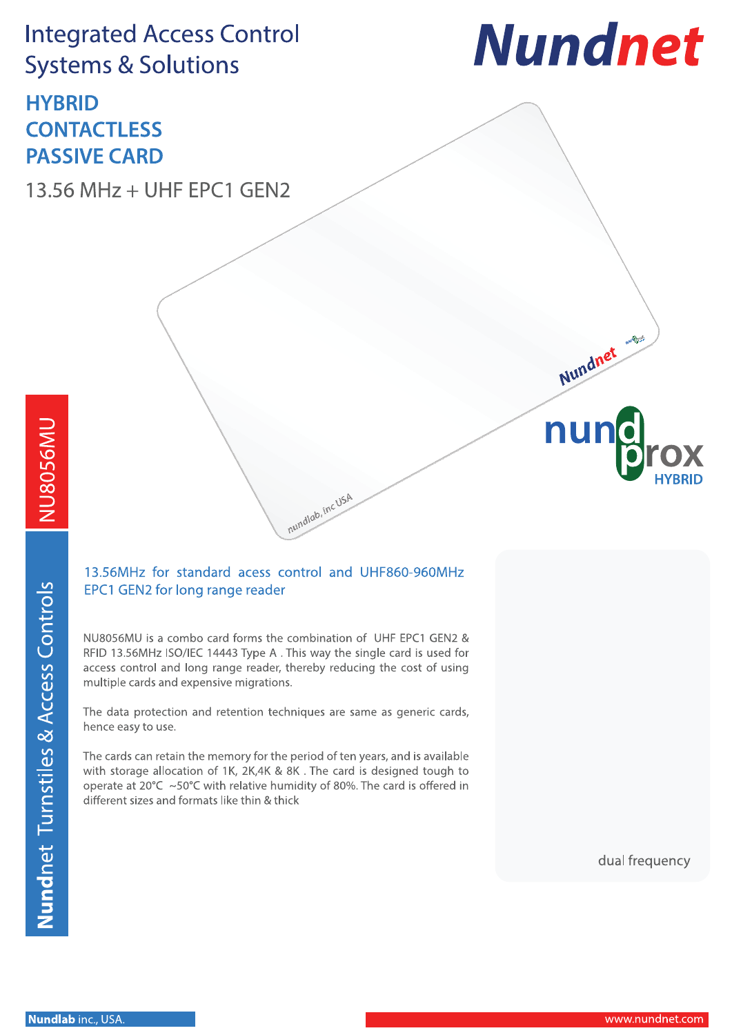## **HYBRID CONTACTLESS PASSIVE CARD**

13.56 MHz + UHF EPC1 GEN2



Nundnet

nul

NU8056MU

#### 13.56MHz for standard acess control and UHF860-960MHz EPC1 GEN2 for long range reader

nundlab, inc USA

NU8056MU is a combo card forms the combination of UHF EPC1 GEN2 & RFID 13.56MHz ISO/IEC 14443 Type A. This way the single card is used for access control and long range reader, thereby reducing the cost of using multiple cards and expensive migrations.

The data protection and retention techniques are same as generic cards, hence easy to use.

The cards can retain the memory for the period of ten years, and is available with storage allocation of 1K, 2K,4K & 8K. The card is designed tough to operate at 20°C ~50°C with relative humidity of 80%. The card is offered in different sizes and formats like thin & thick

dual frequency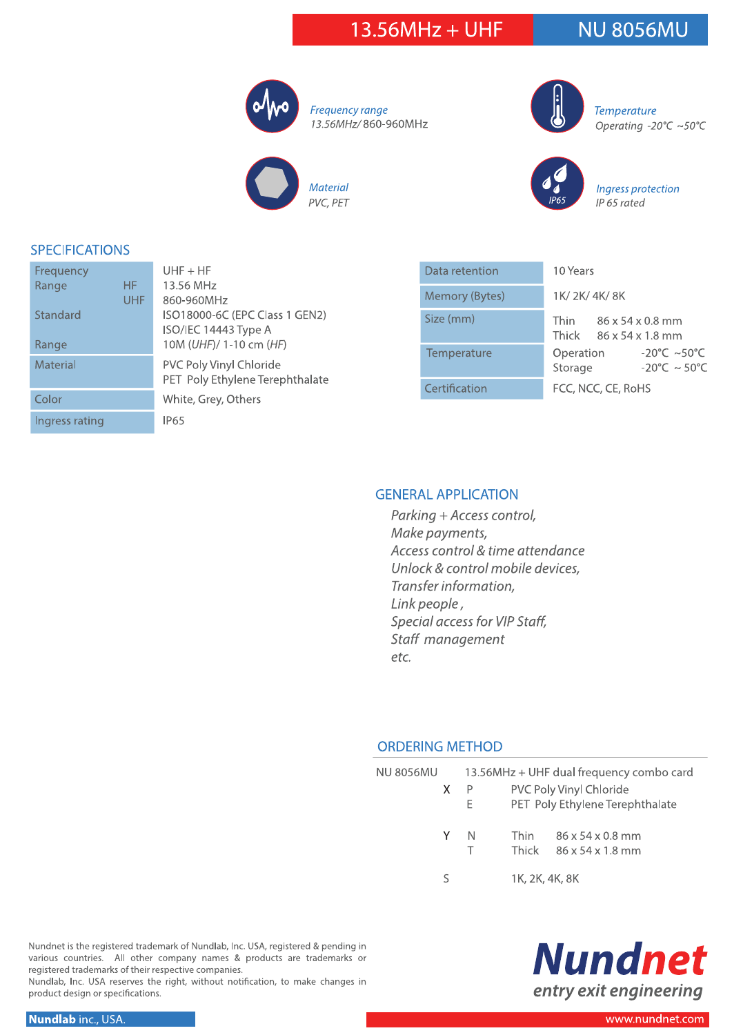### 13.56MHz + UHF

## **NU 8056MU**



Frequency range 13.56MHz/860-960MHz





**Temperature** Operating -20°C ~50°C



Ingress protection IP 65 rated

#### **SPECIFICATIONS**

| Frequency          | $UHF + HF$                      |
|--------------------|---------------------------------|
| <b>HF</b><br>Range | 13.56 MHz                       |
| <b>UHF</b>         | 860-960MHz                      |
| Standard           | ISO18000-6C (EPC Class 1 GEN2)  |
|                    | ISO/IEC 14443 Type A            |
| Range              | 10M (UHF)/ 1-10 cm (HF)         |
| Material           | PVC Poly Vinyl Chloride         |
|                    | PET Poly Ethylene Terephthalate |
| Color              | White, Grey, Others             |
| Ingress rating     | IP <sub>65</sub>                |
|                    |                                 |

| Data retention | 10 Years                                                                           |  |  |
|----------------|------------------------------------------------------------------------------------|--|--|
| Memory (Bytes) | 1K/2K/4K/8K                                                                        |  |  |
| Size (mm)      | Thin<br>$86 \times 54 \times 0.8$ mm<br>Thick $86 \times 54 \times 1.8$ mm         |  |  |
| Temperature    | $-20^{\circ}$ C ~50 $^{\circ}$ C<br>Operation<br>Storage<br>$-20^{\circ}$ C ~ 50°C |  |  |
| Certification  | FCC, NCC, CE, RoHS                                                                 |  |  |

#### **GENERAL APPLICATION**

Parking + Access control, Make payments, Access control & time attendance Unlock & control mobile devices, Transfer information, Link people, Special access for VIP Staff, Staff management etc.

#### **ORDERING METHOD**

| <b>NU 8056MU</b> | 13.56MHz + UHF dual frequency combo card                                      |                      |                                                              |
|------------------|-------------------------------------------------------------------------------|----------------------|--------------------------------------------------------------|
| X.               | <b>PVC Poly Vinyl Chloride</b><br>-P<br>PET Poly Ethylene Terephthalate<br>Е. |                      |                                                              |
| Y                | -N                                                                            | <b>Thin</b><br>Thick | $86 \times 54 \times 0.8$ mm<br>$86 \times 54 \times 1.8$ mm |
| ς                |                                                                               | 1K, 2K, 4K, 8K       |                                                              |



Nundnet is the registered trademark of Nundlab, Inc. USA, registered & pending in various countries. All other company names & products are trademarks or registered trademarks of their respective companies.

Nundlab, Inc. USA reserves the right, without notification, to make changes in product design or specifications.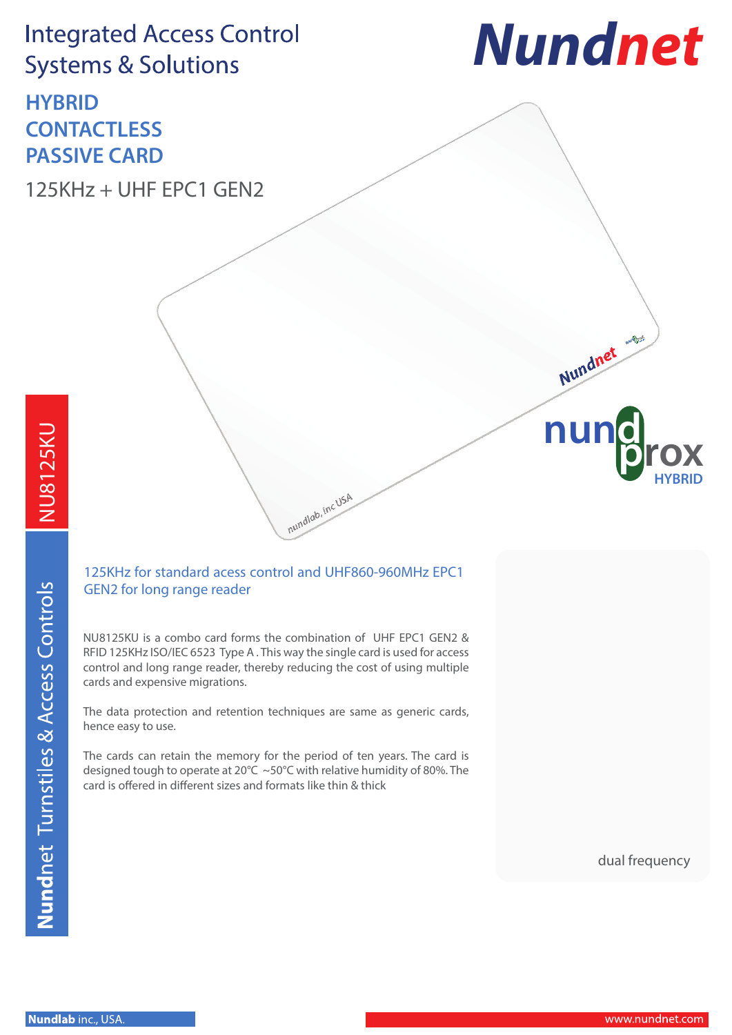## **HYBRID CONTACTLESS PASSIVE CARD**

125KHz + UHF EPC1 GEN2



**nu** 

Nundnet

## NU8125KU NU8125KU

### 125KHz for standard acess control and UHF860-960MHz EPC1 GEN2 for long range reader

nundlab, inc USA

NU8125KU is a combo card forms the combination of UHF EPC1 GEN2 & RFID 125KHz ISO/IEC 6523 Type A . This way the single card is used for access control and long range reader, thereby reducing the cost of using multiple cards and expensive migrations.

The data protection and retention techniques are same as generic cards, hence easy to use.

The cards can retain the memory for the period of ten years. The card is designed tough to operate at 20°C ~50°C with relative humidity of 80%. The card is offered in different sizes and formats like thin & thick

dual frequency

**prox**

**HYBRID**